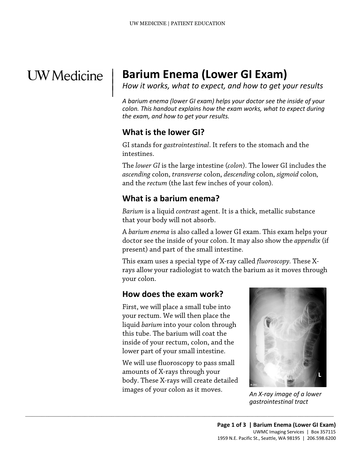# **UW** Medicine

 $\parallel$ 

## | **Barium Enema (Lower GI Exam)**

*How it works, what to expect, and how to get your results* <sup>|</sup>

*A barium enema (lower GI exam) helps your doctor see the inside of your colon. This handout explains how the exam works, what to expect during the exam, and how to get your results.* 

## **What is the lower GI?**

GI stands for *gastrointestinal*. It refers to the stomach and the intestines.

The *lower GI* is the large intestine (*colon*). The lower GI includes the *ascending* colon, *transverse* colon, *descending* colon, *sigmoid* colon*,*  and the *rectum* (the last few inches of your colon)*.* 

## **What is a barium enema?**

*Barium* is a liquid *contrast* agent. It is a thick, metallic substance that your body will not absorb.

 A *barium enema* is also called a lower GI exam. This exam helps your doctor see the inside of your colon. It may also show the *appendix* (if present) and part of the small intestine.

This exam uses a special type of X-ray called *[fluoroscopy.](javascript:glossAry()* These Xrays allow your radiologist to watch the barium as it moves through your colon.

## **How does the exam work?**

First, we will place a small tube into your rectum. We will then place the liquid *[barium](javascript:glossAry()* into your colon through this tube. The barium will coat the inside of your rectum, colon, and the lower part of your small intestine.

 body. These X-rays will create detailed images of your colon as it moves. *An X-ray image of a lower*  We will use fluoroscopy to pass small amounts of X-rays through your

 $\_$  , and the set of the set of the set of the set of the set of the set of the set of the set of the set of the set of the set of the set of the set of the set of the set of the set of the set of the set of the set of th



*gastrointestinal tract*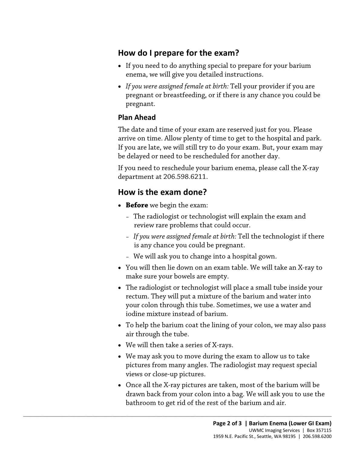## **How do I prepare for the exam?**

- enema, we will give you detailed instructions. • If you need to do anything special to prepare for your barium
- *If you were assigned female at birth:* Tell your provider if you are pregnant or breastfeeding, or if there is any chance you could be pregnant.

#### **Plan Ahead**

 The date and time of your exam are reserved just for you. Please arrive on time. Allow plenty of time to get to the hospital and park. If you are late, we will still try to do your exam. But, your exam may be delayed or need to be rescheduled for another day.

If you need to reschedule your barium enema, please call the X-ray department at 206.598.6211.

## **How is the exam done?**

- **Before** we begin the exam:
	- The [radiologist](javascript:glossAry() or [technologist](javascript:glossAry() will explain the exam and review rare problems that could occur.
	- *If you were assigned female at birth:* Tell the technologist if there is any chance you could be pregnant.
	- We will ask you to change into a hospital gown.
- You will then lie down on an exam table. We will take an X-ray to make sure your bowels are empty.
- your colon through this tube. Sometimes, we use a water and • The radiologist or technologist will place a small tube inside your rectum. They will put a mixture of the barium and water into iodine mixture instead of barium.
- To help the barium coat the lining of your colon, we may also pass air through the tube.
- We will then take a series of X-rays.

 $\_$  ,  $\_$  ,  $\_$  ,  $\_$  ,  $\_$  ,  $\_$  ,  $\_$  ,  $\_$  ,  $\_$  ,  $\_$  ,  $\_$  ,  $\_$  ,  $\_$  ,  $\_$  ,  $\_$  ,  $\_$  ,  $\_$  ,  $\_$  ,  $\_$  ,  $\_$  ,  $\_$  ,  $\_$  ,  $\_$  ,  $\_$  ,  $\_$  ,  $\_$  ,  $\_$  ,  $\_$  ,  $\_$  ,  $\_$  ,  $\_$  ,  $\_$  ,  $\_$  ,  $\_$  ,  $\_$  ,  $\_$  ,  $\_$  ,

- • We may ask you to move during the exam to allow us to take pictures from many angles. The radiologist may request special views or close-up pictures.
- • Once all the X-ray pictures are taken, most of the barium will be drawn back from your colon into a bag. We will ask you to use the bathroom to get rid of the rest of the barium and air.